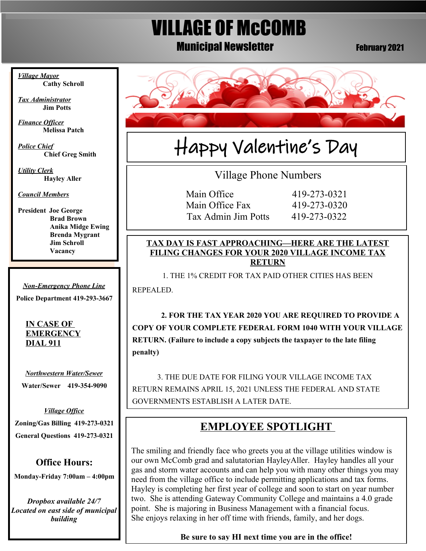# VILLAGE OF McCOMB **Municipal Newsletter February 2021**

*Village Mayor* **Cathy Schroll**

*Tax Administrator* **Jim Potts**

 *Finance Officer* **Melissa Patch**

*Police Chief* **Chief Greg Smith**

*Utility Clerk* **Hayley Aller**

*Council Members*

**President Joe George Brad Brown Anika Midge Ewing Brenda Mygrant Jim Schroll Vacancy** 

*Non-Emergency Phone Line*

**Police Department 419-293-3667**

#### **IN CASE OF EMERGENCY DIAL 911**

*Northwestern Water/Sewer*

**Water/Sewer 419-354-9090**

*Village Office* **Zoning/Gas Billing 419-273-0321 General Questions 419-273-0321**

# **Office Hours:**

**Monday-Friday 7:00am – 4:00pm**

*Dropbox available 24/7 Located on east side of municipal building*



# Happy Valentine's Day

Village Phone Numbers

Main Office 419-273-0321 Main Office Fax 419-273-0320 Tax Admin Jim Potts 419-273-0322

#### **TAX DAY IS FAST APPROACHING—HERE ARE THE LATEST FILING CHANGES FOR YOUR 2020 VILLAGE INCOME TAX RETURN**

1. THE 1% CREDIT FOR TAX PAID OTHER CITIES HAS BEEN

REPEALED.

 **2. FOR THE TAX YEAR 2020 YOU ARE REQUIRED TO PROVIDE A COPY OF YOUR COMPLETE FEDERAL FORM 1040 WITH YOUR VILLAGE RETURN. (Failure to include a copy subjects the taxpayer to the late filing penalty)**

3. THE DUE DATE FOR FILING YOUR VILLAGE INCOME TAX RETURN REMAINS APRIL 15, 2021 UNLESS THE FEDERAL AND STATE GOVERNMENTS ESTABLISH A LATER DATE.

# **EMPLOYEE SPOTLIGHT**

The smiling and friendly face who greets you at the village utilities window is our own McComb grad and salutatorian HayleyAller. Hayley handles all your gas and storm water accounts and can help you with many other things you may need from the village office to include permitting applications and tax forms. Hayley is completing her first year of college and soon to start on year number two. She is attending Gateway Community College and maintains a 4.0 grade point. She is majoring in Business Management with a financial focus. She enjoys relaxing in her off time with friends, family, and her dogs.

## **Be sure to say HI next time you are in the office!**